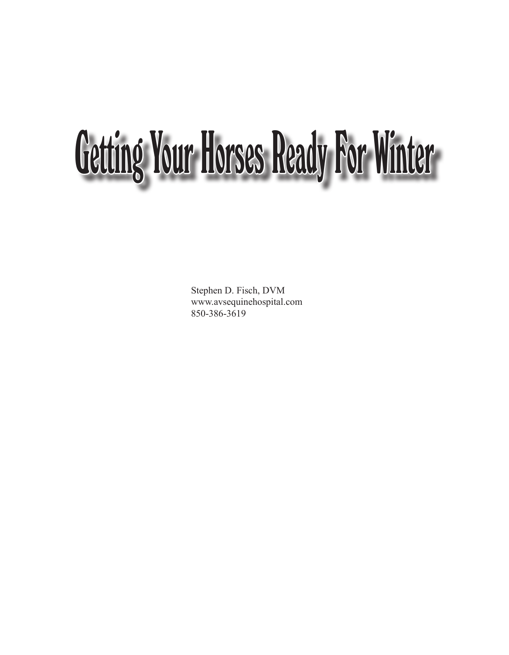## Getting Your Horses Ready For Winter

Stephen D. Fisch, DVM www.avsequinehospital.com 850-386-3619